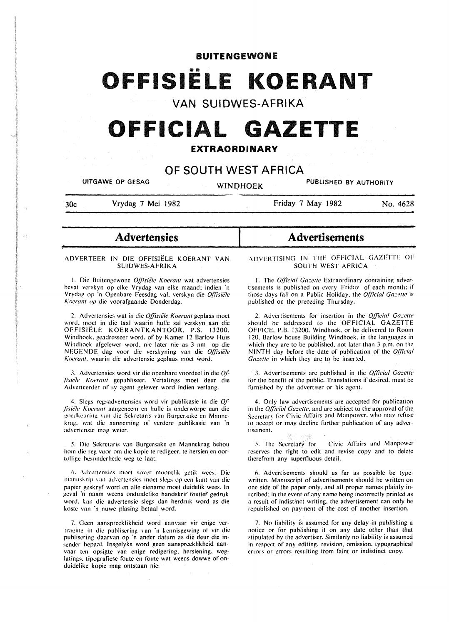BUITENGEWONE

# **OFFISIELE KOERANT**

**VAN SUIDWES-AFRIKA** 

# **OFFICIAL GAZETTE**

## **EXTRAORDINARY**

# **OF SOUTH WEST AFRICA**

UITGAWE OP GESAG WINDHOEK PUBLISHED BY AUTHORITY

30c Vrydag 7 Mei 1982

~

 $\sim$   $\sim$ 

Friday 7 May 1982 No. 4628

- **Advertensies** 

## ADVERTEER IN DIE OFFISIELE KOERANT VAN SUIDWES-AFRIKA

f. Die Buitcngcwonc *q{/isiele Koerant* wat advertensies bevat vcrskyn op elke Vrydag van elke maand; indien ·n Vrydag op ·n Opcnbarc Fecsdag val. verskyn die *q(fisiele Koeranl* op die voorafgaande Dondcrdag.

2. Advertensies wat in die *Offisiële Koerant* geplaas moet word. moct in die taal waarin hulle sal verskyn aan die OFFISIELE KOERANTKANTOOR. P.S. 13200. Windhoek. geadrcsseer word. of by Kamer 12 Barlow Huis Windhoek afgelcwer word. nie later nie as 3 nm op die NEGENDE dag voor die verskyning van die *q[(isiiile*  Koerant, waarin die advertensie geplaas moet word.

J. Advcrtcnsics word vir die opcnbare voordcel in die *q( .fisii·k Koerant* gcpubliscer. Vcrtalings moct deur die Adverteerder of sy agent gelewer word indien verlang.

4. Slegs regsadvertensies word vir publikasie in die Of-*.fisii;le Kuerant* aangenccm en hullc is onderworpe aan die goedkeuring van die Sekretaris van Burgersake en Mannekrag. wat die aanneming of verdere publikasie van 'n advcrtcnsie mag wcicr.

5. Die Sckretaris van Burgersakc en Mannekrag behou hom die reg voor om die kopie te redigeer, te hersien en oortolligc bcsondcrhcdc wcg te laat.

6. Advertensies moet sover moontlik getik wees. Die manuskrip van advertensies moet slegs op een kant van die papicr gcskryf word en aile eiename moet duidelik wees. In geval 'n naam weens onduidelike handskrif foutief gedruk word. kan die advcrtensic slegs dan herdruk word as die koste van 'n nuwe plasing betaal word.

7. Geen aanspreeklikheid word aanvaar vir enige vertraging in die publisering van 'n kennisgewing of vir die publisering daarvan op ·n andcr datum as die dcur die insender bepaal. lnsgclyks word geen aanspreeklikheid aanvaar ten opsigte van cnige rcdigcring. hcrsiening. weglatings. tipografiese foute en foute wat weens dowwe of onduidelike kopie mag ontstaan nie.

# **Advertisements**

·\DVF.RTISJNG IN TIJF OFFICIAL GAZI:'TTF OF SOUTH WEST AFRICA

1. The *Official Gazette* Extraordinary containing advertisements is published on every Friday of each month: if those days fall on a Public Holiday, the *Official Gazette* is published on the preceding Thursday.

2. Advertisements for insertion in the *Official Gazette* should be addressed to the OFFICIAL GAZETTE OFFICE. P.B. 13200. Windhoek. or be delivered to Room 120. Barlow house Building Windhoek. in the languages in which they are to be published, not later than 3 p.m. on the NINTH day before the date of publication of the *Official Gazette* in which they are to be inserted.

3. Advertisements are published in the *Official Gazette* for the benefit of the public. Translations if desired. must be furnished by the advertiser or his agent.

4. Only law advertisements arc accepted for publication in the *Official Gazette*, and are subject to the approval of the Secretary for Civic Affairs and Manpower, who may refuse to accept or may decline further publication of any advertisement.

5. The Secretary for Civic Affairs and Manpower reserves the right to edit and revise copy and to delete therefrom any superfluous detail.

6. Advertisements should as far as possible be typewritten. Manuscript of advertisements should be written on one side of the paper only. and all proper names plainly inscribed: in the event of any name being incorrectly printed as a result of indistinct writing. the advertisement can only be republished on payment of the cost of another insertion.

7. No liability is assumed for any delay in publishing a notice or for publishing it on any date other than that stipulated by the advertiser. Similarly no liability is assumed in respect of any editing. revision. omission. typographical errors or errors resulting from faint or indistinct copy.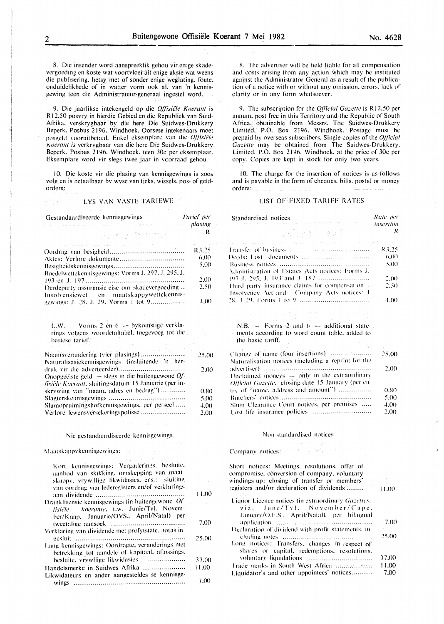8. Die insender word aanspreeklik gehou vir enige skadevergoeding en koste wat voortvloei uit enige aksie wat weens die publisering. hctsy met of sonder enigc wcglating. foutc. onduidelikhede of in watter vorm ook al. van 'n kennisgewing teen die Administrateur-generaal ingestel word.

9. Die jaarlikse intekengeld op die *Offisiële Koerant* is R 12.50 posvry in hierdie Gebied en die Republiek van Suid-Afrika. verskrygbaar by die here Die Suidwes- Drukkery Beperk. Posbus 2196. Windhoek. Oorsese intekenaars moet posgeld vooruitbetaal. Enkel eksemplare van die *Q(fisiële* 1\0CJ'GIIf *is* vcrkrygbaar van die here Die Suidwes-Drukkery Bepcrk. Posbus 2196. Windhoek. teen 30c per eksemplaar. Eksemplare word vir slegs twee jaar in voorraad gehou.

10. Die koste vir die plasing van kennisgewings is soos volg en is betaalbaar by wyse van tieks, wissels, pos- of geldorders:

# LYS VAN VASTE TARIEWE

| Gestandaardiseerde kennisgewings                                                                                      | Tarief per                            |
|-----------------------------------------------------------------------------------------------------------------------|---------------------------------------|
| and with the standard constitution of the control of the control of the company of the decision of the control of the | plasing                               |
| ายละ เริง ระบบ สัมราช <sup>หรื</sup> อรับ<br>พ                                                                        | R                                     |
| the large and an article provided an internal company and some the company of the state of the state of the state of  | $\omega$ and $\omega$ . Then<br>R3.25 |
|                                                                                                                       | (6.00)                                |
| Boedelwettekennisgewings: Vorms J. 297, J. 295, J.                                                                    | 5.00                                  |
|                                                                                                                       | 2.00                                  |
| Derdeparty assuransie eise om skadevergoeding<br>Insolvensiewet en maatskappywettekennis-                             | 2.50                                  |
| gewings: J. 28, J. 29, Vorms 1 tot 9                                                                                  | 4.00                                  |
| L.W. $-$ Vorms 2 en 6 $-$ bykomstige verkla-                                                                          |                                       |

rings volgens woordetaltabel. toegevoeg tot die hasicsc taricf.

| Naamsverandering (vier plasings)                             | 25.00 |
|--------------------------------------------------------------|-------|
| Naturalisasiekennisgewings (insluitende 'n her-              |       |
|                                                              | 2.00  |
| Onopgeëiste geld $\rightarrow$ slegs in die buitengewone Of- |       |
| <i>fisiële Koerant</i> , sluitingsdatum 15 Januarie (per in- |       |
| skrywing van "naam, adres en bedrag")                        | 0.80  |
|                                                              | 5.00  |
| Slumopruimingshofkennisgewings, per perseel                  | 4.00  |
| Verlore lewensversekeringspolisse                            | 2,00  |

### Nie gcstandaardiseerde kcnnisgewings

Maatskappvkennisgewings:

| Kort kennisgewings: Vergaderings, besluite,<br>aanbod van skikking, omskepping van maat<br>skappy, vrywillige likwidasies, ens.: sluiting. |       |
|--------------------------------------------------------------------------------------------------------------------------------------------|-------|
| van oordrag van lederegisters en/of verklarings.                                                                                           | 11.00 |
| Dranklisensie kennisgewings (in buitengewone Of                                                                                            |       |
| fisiële koerante, t.w. Junie/Tvl. Novem<br>ber/Kaap, Januarie/OVS., April/Natal) per                                                       |       |
|                                                                                                                                            | 7.00  |
| Verklaring van dividende met profytstate, notas in                                                                                         |       |
|                                                                                                                                            | 25.00 |
| Lang kennisgewings: Oordragte, veranderings met<br>betrekking tot aandele of kapitaal, aflossings.                                         |       |
| besluite, vrywllige likwidasies                                                                                                            | 37.00 |
| Handelsmerke in Suidwes Afrika                                                                                                             | 11.00 |
| Likwidateurs en ander aangesteldes se kennisge-                                                                                            |       |
|                                                                                                                                            | 7.00  |

X. The advertiser will be held liable for all compensation and costs arising from any action which may be instituted against the Administrator-General as a result of the publication of a notice with or without any omission. errors. lack of clarity or in any form whatsoever.

9. The subscription for the *Official Gazette* is R12.50 per annum. post free in this Territory and the Republic of South Africa. obtainable from Messrs. The Suidwes-Drukkcry Limited. P.O. Box 2196. Windhoek. Postage must be prepaid by overseas subscribers. Single copies of the *Off/cia/ Gazette* may be obtained from The Suidwes-Drukkery. Limited. P.O. Box 2196. Windhoek. at the price of 30c per copy. Copies arc kept in stock for only two years.

10. The charge for the insertion of notices is as follows and is payable in the form of cheques. bills. postal or money orders:

## LIST OF FIXED TARIFF RATES

| Standardised notices<br>and approximation of the regarding of days and interference and in the contract of the con- | Rate per<br>insertion |
|---------------------------------------------------------------------------------------------------------------------|-----------------------|
| <i>v</i> strandard and a fill                                                                                       | R                     |
| the company of the company of the company of the set of the state of the company of the company of the company      |                       |
|                                                                                                                     | R3.25                 |
|                                                                                                                     | 6.00                  |
|                                                                                                                     | 5.00                  |
| Administration of Estates Acts nodees: Forms J.                                                                     |                       |
|                                                                                                                     | 2.00                  |
| Third party insurance claims for compensation.                                                                      | 2.50                  |
| Insolvency Act and Company Acts notices: J                                                                          |                       |
|                                                                                                                     | 4.00                  |

N.B.  $-$  Forms 2 and 6  $-$  additional statemcnts according to word count table. added to the basic tariff.

| Naturalisation notices (including a reprint for the |      |
|-----------------------------------------------------|------|
|                                                     | 2.00 |
| Unclaimed moneys $-$ only in the extraordinary      |      |
| Official Gazette, closing date 15 January (per en-  |      |
| try of "name, address and amount")                  | 0.80 |
|                                                     | 5.00 |
| Slum Clearance Court notices, per premises          | 4.00 |
|                                                     | 2.00 |

### Non standardised notices

Company notices: Fig. 1994

| Short notices: Meetings, resolutions, offer of<br>compromise, conversion of company, voluntary<br>windings-up: closing of transfer or members'<br>registers and/or declaration of dividends | 11.00 |
|---------------------------------------------------------------------------------------------------------------------------------------------------------------------------------------------|-------|
|                                                                                                                                                                                             |       |
| Liquor Licence notices (in extraordinary Gazettes,                                                                                                                                          |       |
| viz. June/Tyl. November/Cape.                                                                                                                                                               |       |
| January/O.F.S., April/Natal), per bilingual                                                                                                                                                 |       |
|                                                                                                                                                                                             | 7.00  |
| Declaration of dividend with profit statements, in                                                                                                                                          |       |
|                                                                                                                                                                                             | 25.00 |
| Long notices: Transfers, changes in respect of<br>shares or capital, redemptions, resolutions,                                                                                              |       |
|                                                                                                                                                                                             | 37.00 |
| Frade marks in South West Africa management                                                                                                                                                 | 11.00 |
|                                                                                                                                                                                             |       |
| Liquidator's and other appointees' notices                                                                                                                                                  | 7.00  |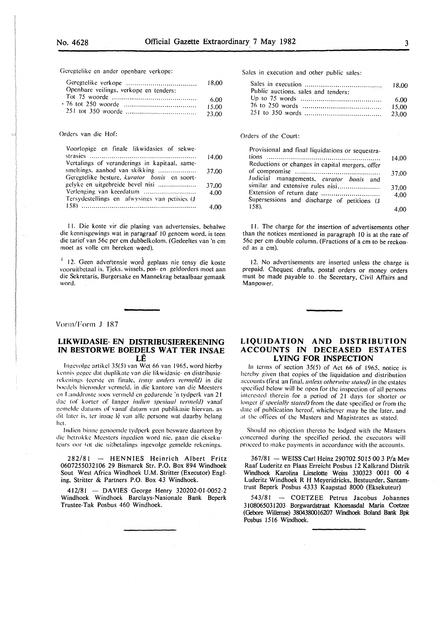Gcrcgtelike en ander openbare verkope:

|                                        | 18.00 |
|----------------------------------------|-------|
| Openbare veilings, verkope en tenders: |       |
|                                        | 6.00  |
|                                        | 15.00 |
|                                        | 23.00 |

#### Orders van die Hof:

| Voorlopige en finale likwidasies of sekwe-    |       |
|-----------------------------------------------|-------|
|                                               | 14,00 |
| Vertalings of veranderings in kapitaal, same- |       |
| smeltings, aanbod van skikking                | 37.00 |
| Geregtelike besture, kurator bonis en soort-  |       |
| gelyke en uitgebreide bevel nisi              | 37.00 |
| Verlenging van keerdatum                      | 4.00  |
| Tersydestellings en afwysings van petisies (J |       |
|                                               | 4.00  |

II. Die koste vir die plasing van advertensies. behalwe die kennisgewings wat in paragraaf 10 genoem word. is teen die tarief van 56c per em dubbelkolom. (Gedeeltes van 'n em moet as volle em bereken w@rd).

<sup>1</sup> 12. Geen advertensie word geplaas nie tensy die koste vooruitbetaal is. Tjeks. wissels. pos- en geldorders moet aan die Sckretaris. Burgcrsake en Mannekrag betaalbaar gemaak word.

### Vorm/Form J 187

## **LIKWIDASIE- EN DISTRIBUSIEREKENING IN BESTORWE BOEDELS WAT TER INSAE LE**

lnge\'Oige artikel 35(5) van Wet 66 van 1965. word hierby kennis gegce dat duplikate van die likwidasie- en distribusierekenings (eerste en finale, tensy anders vermeld) in die hoedcls hieronder vermcld. in die kantore van die Meesters en Landdroste soos vermeld en gedurende 'n tydperk van 21 dae (of korter of langer indien spesiaal vermeld) vanaf gcmclde datums of vanaf datum van publikasic hiervan. as dit later is, ter insae lê van alle persone wat daarby belang hct.

lndicn binnc gcnocmdc tydpcrk gccn bcswarc daartccn by dic hetrokkc Mccsters ingcdicn word nie. gaan die cksckutcurs oor tot die ui:bctalings ingcvolge gcmclde rckcnings.

282/81 - HENNIES Heinrich Albert Fritz 0607255032106 29 Bismarck Str. P.O. Box 894 Windhoek Sout West Africa Windhoek U.M. Stritter (Executor) Engling. Stritter & Partners P.O. Box 43 Windhoek.

412/81 - DAVIES George Henry 320202-01-0052-2 Windhoek Windhoek Barclays-Nasionale Bank Beperk Trustee-Tak Posbus 460 Windhoek.

Sales in execution and other public sales:

| Public auctions, sales and tenders: |        |
|-------------------------------------|--------|
|                                     |        |
|                                     | -15.00 |
|                                     |        |

## Orders of the Court:

| Provisional and final liquidations or sequestra- |       |
|--------------------------------------------------|-------|
|                                                  | 14.00 |
| Reductions or changes in capital mergers, offer  |       |
|                                                  | 37.00 |
| Judicial managements, curator bonis and          |       |
| similar and extensive rules nisi                 | 37.00 |
| Extension of return date                         | 4.00  |
| Supersessions and discharge of petitions (J      |       |
| 158).                                            |       |

II. The charge for the insertion of advertisements other than the notices mentioned in paragraph 10 is at the rate of 56c per em double column. (Fractions of a em to be reckoned as a em).

12. No advertisements are inserted unless the charge is prepaid. Cheques, drafts, postal orders or money orders must be made payable to. the Secretary, Civil Affairs and Manpower.

## **LIQUIDATION AND DISTRIBUTION ACCOUNTS IN DECEASED ESTATES LYING FOR INSPECTION**

In terms of section 35(5) of Act 66 of 1965. notice is hereby given that copies of the liquidation and distribution accounts (first an final, *unless otherwise stated)* in the estates specified below will be open for the inspection of all persons interested therein for a period of 21 days (or shorter or longer if specially stated) from the date specified or from the date of publication hereof. whichever may be the later. and at the ofTiccs of the Masters and Magistrates as stated.

Should no objection thereto be lodged with the Masters concerned during the specified period. the executors will proceed to make payments in accordance with the accounts.

367/81 - WEISS Carl Heinz 290702 5015 00 3 P/a Mev Raaf Luderitz en Plaas Erreicht Posbus 12 Kalkrand Distrik Windhoek Karolina Lieselotte Weiss 330323 0011 00 4 Luderitz Windhoek R H Meyeridricks, Bestuurder, Santamtrust Beperk Posbus 4333 Kaapstad 8000 (Eksekuteur)

543/81 - COETZEE Petrus Jacobus Johannes 3108065031203 Borgwardstraat Khomasdal Maria Coetzee (Gebore Wtllemse) 3804380016207 Windhoek Boland Bank Bpk Posbus 1516 Windhoek.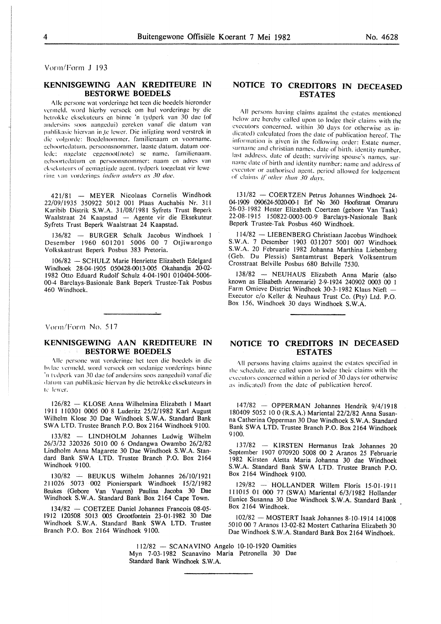Vorm/Form J 193

## KENNISGEWING AAN KREDITEURE IN BESTORWE BOEDELS

Alle persone wat vorderinge het teen die boedels hieronder vermeld, word hierby versoek om hul vorderinge by die hetrokke cksckuteurs en hinne 'n tydperk van 30 dac (of andersins soos aangedui) gereken vanaf die datum van publikasie hiervan in te lewer. Die inligting word verstrek in die volgordc: Boedclnommer. familienaam en voorname. geboortedatum, persoonsnommer, laaste datum, datum oorlcdc: nagclate cggcnoot(notc) se name. familienaam. eeboortedatum en persoonsnommer: naam en adres van ck sekuteurs of gemagtigde agent. tydperk toegelaat vir lewering van vorderings *indien anders as 30 dae*.

421/81 - MEYER Nicolaas Cornelis Windhoek 22/09/1935 350922 5012 001 Plaas Auchabis Nr. 31I Karibib Distrik S. W.A. 31/08/1981 Syfrets Trust Beperk Waalstraat 24 Kaapstad - Agente vir die Eksekuteur. Syfrets Trust Beperk Waalstraat 24 Kaapstad.

136/82 - BURGER Schalk Jacobus Windhoek I Desember 1960 601201 5006 00 7 Otjiwarongo Volkskastrust Beperk Posbus 383 Pretoria.

106/82 - SCHULZ Marie Henriette Elizabeth Edelgard Windhoek 28-04-1905 050428-0013-005 Okahandja 20.02- 1982 Otto Eduard Rudolf Schulz 4-04-I901 010404-5006- 00-4 Barclays-Basionale Bank Beperk Trustee-Tak Posbus 460 Windhoek.

Vorm/Form No. 517

## KENNISGEWING AAN KREDITEURE IN BESTORWE BOEDELS

\lie pcrsone wat vordcringc hct teen die bocdcls in die bylae vermeld, word versoek om sodanige vorderings binne 'n tydperk van 30 dae (of andersins soos aangedui) vanaf die datum van publikasie hiervan by die betrokke eksekuteurs in te lewer.

126/82 - KLOSE Anna Wilhelmina Elizabeth I Maart 1911 110301 0005 00 8 Luderitz 25/2/1982 Karl August Wilhelm Klose 30 Dae Windhoek S.W.A. Standard Bank SWA LTD. Trustee Branch P.O. Box 2164 Windhoek 9100.

133/82 - LINDHOLM Johannes Ludwig Wilhelm 26/3/32 320326 50IO 00 6 Ondangwa Owambo 26/2/82 Lindholm Anna Magarete 30 Dae Windhoek S.W.A. Standard Bank SWA LTD. Trustee Branch P.O. Box 2164 Windhoek 9100.

130/82 - BEUKUS Wilhelm Johannes 26/I0/192I 211026 5073 002 Pionierspark Windhoek 15/2/1982 Beukes (Gebore Van Vuuren) Paulina Jacoba 30 Dae Windhoek S.W.A. Standard Bank Box 2164 Cape Town.

 $134/82$  - COETZEE Daniel Johannes Francois 08-05-I912 120508 5013 005 Grootfontein 23-0I-1982 30 Dae Windhoek S.W.A. Standard Bank SWA LTD. Trustee Branch P.O. Box 2164 Windhoek 9100.

# NOTICE TO CREDITORS IN DECEASED **ESTATES**

All persons having claims against the estates mentioned below arc hereby called upon to lodge their claims with the executors concerned. within 30 days (or otherwise as indicated) calculated from the date of publication hereof. The information is given in the following order: Estate numer. surname and christian names, date of birth, identity number. last address. date of death: surviving spouse's names. surname date of birth and identity number: name and address of executor or authorised agent, period allowed for lodgement nf' claims if" *other than 30 dm·s.* 

131/82 - COERTZEN Petrus Johannes Windhoek 24- 04-1909 090624-5020-00-1 Erf No 360 Hoofstraat Omaruru 26-03-1982 Hester Elizabeth Coertzen (gebore Van Taak) 22-08-1915 150822-0003-00-9 Barclays-Nasionale Bank Beperk Trustee-Tak Posbus 460 Windhoek.

114/82 -LIESENBERG Christiaan Jacobus Windhoek S.W.A. 7 Desember 1903 031207 5001 007 Windhoek S.W.A. 20 Februarie 1982 Johanna Marthina Liebenberg (Geb. Du Plessis) Santamtrust Beperk Volksentrum Crosstraat Belville Posbus 680 Belville 7530.

138/82 - NEUHAUS Elizabeth Anna Marie (also known as Elisabeth Annemarie) 2-9-1924 240902 0003 00 1 Farm Omieve District Windhoek 30-3-1982 Klaus Nieft -Executor c/o Keller & Neuhaus Trust Co. (Pty) Ltd. P.O. Box 156, Windhoek 30 days Windhoek S.W.A.

## NOTICE TO CREDITORS IN DECEASED ESTATES

All persons having claims against the estates specified in the schedule, are called upon to lodge their claims with the executors concerned within a period of 30 days (or otherwise as indicated) from the date of publication hereof.

147/82 - OPPERMAN Johannes Hendrik 9/4/1918 180409 5052 10 0 (R.S.A.) Mariental 22/2/82 Anna Susanna Catherina Opperman 30 Dae Windhoek S.W.A. Standard Bank SWA LTD. Trustee Branch P.O. Box 2164 Windhoek 9100.

137/82 - KIRSTEN Hermanus Izak Johannes 20 September 1907 070920 5008 00 2 Aranos 25 Februarie 1982 Kirsten Aletta Maria Johanna 30 dae Windhoek S.W.A. Standard Bank SWA LTD. Trustee Branch P.O. Box 2164 Windhoek 9100.

129/82 - HOLLANDER Willem Floris 15-01-1911 111015 01 000 77 (SWA) Mariental 6/3/1982 Hollander Eunice Susanna 30 Dae Windhoek S.W.A. Standard Bank Box 2164 Windhoek.

102/82 - MOSTERT Isaak Johannes 8-10-1914 141008 5010 00 7 Aranos 13-02-82 Mostert Catharina Elizabeth 30 Dae Windhoek S.W.A. Standard Bank Box 2164 Windhoek.

112/82 - SCANAVINO Angelo 10-10-1920 Oamities Myn 7-03-1982 Scanavino Maria Petronella 30 Dae Standard Bank Windhoek S.W.A.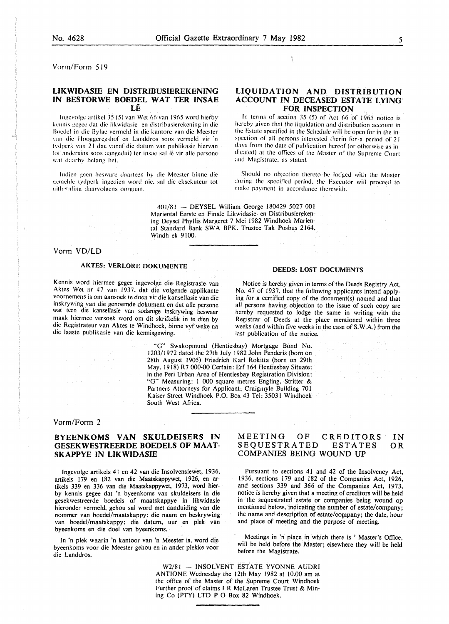Vonn/Fonn 519

# LIKWIDASIE EN DISTRIBUSIEREKENING IN BESTORWE BOEDEL WAT TER INSAE

LE

Ingevolge artikel  $35 (5)$  van Wet 66 van 1965 word hierby kennis gegee dat die likwidasie- en distribusierekening in die Boedel in die Bylac vermeld in die kantore van die Meester van die Hooggeregshof en Landdros soos vermeld vir 'n tvdperk van 21 dae vanaf die datum van publikasie hiervan tof andersins soos aangedui) ter insae sal lê vir alle persone. wat daarby belang het.

Indien geen besware daarteen by die Meester binne die l!crnclde tydperk ingcdien word nie. sal die eksekuteur lot nithetaling daarvolgens oorgaan

## LIQUIDATION AND DISTRIBUTION ACCOUNT IN DECEASED ESTATE LYING' FOR INSPECTION

In terms of section 35 (5) of Act 66 of 1965 notice is hereby given that the liquidation and distribution account in the Estate specified in the Schedule will he open for in the inspection of all persons interested therin for a period of 21 davs from the date of publication hereof (or otherwise as indicated) at the offices of the Master of the Supreme Court and Magistrate. as slated.

Should no objection thereto be lodged with the Master during the specified period. the Fxcculor will proceed to make payment in accordance therewith.

401/81 - DEYSEL William George 180429 5027 001 Mariental Eerste en Finale Likwidasie- en Distribusierekening Deysel Phyllis Margeret 7 Mei 1982 Windhoek Mariental Standard Bank SWA BPK. Trustee Tak Posbus 2164, Windh ek 9100.

## Vorm VD/LD

## AKTES: VERLORE DOKUMENTE

Kennis word hiermee gegee ingevolge die Registrasie van Aktes Wet nr 47 van 1937, dat die volgende applikante voornemens is om aansoek te doen vir die kansellasie van die inskrywing van die genoemde dokument en dat aile persone wat teen die kansellasie van sodanige inskrywing beswaar maak hiermee versoek word om dit skriftelik in te dien by die Registrateur van Aktes te Windhoek, binne vyf weke na die laaste publikasie van die kennisgewing.

DEEDS: LOST DOCUMENTS

Notice is hereby given in terms of the Deeds Registry Act, No. 47 of 1937, that the following applicants intend applying for a certified copy of the document(s) named and that all persons having objection to the issue of such copy are hereby requested to lodge the same in writing with the Registrar of Deeds at the place mentioned within three weeks (and within five weeks in the case of S. W.A.) from the last publication of the notice.

"G" Swakopmund (Hentiesbay) Mortgage Bond No. 1203/1972 dated the 27th July 1982 John Penderis (born on 28th August 1905) Friedrich Karl Rokitta (born on 29th May. 1918) R 7 000-00 Certain: Erf 164 Hentiesbay Situate: in the Peri Urban Area of Hentiesbay Registration Division: "G" Measuring: I 000 square metres Engling. Stritter & Partners Attorneys for Applicant; Craigmyle Building 701 Kaiser Street Windhoek P.O. Box 43 Tel: 35031 Windhoek South West Africa.

## Vorm/Form 2

## BYEENKOMS VAN SKULDEISERS IN GESEKWESTREERDE BOEDELS OF MAAT-SKAPPYE IN LIKWIDASIE

lngevolge artikels 41 en 42 van die Insolvensiewet, 1936, artikels 179 en 182 van die Maatskappywet, 1926, en artikels 339 en 336 van die Maatskappywet, 1973, word hierby kennis gegee dat 'n byeenkoms van skuldeisers in die gesekwestreerde boedels of maatskappye in likwidasie hieronder vermeld, gehou sal word met aanduiding van die nommer van boedel/maatskappy; die naam en beskrywing van boedel/maatskappy; die datum, uur en plek van byeenkoms en die doe! van byeenkoms.

In 'n plek waarin 'n kantoor van 'n Meester is, word die byeenkoms voor die Meester gehou en in ander plekke voor die Landdros.

#### MEETING OF CREDITORS SEQUESTRATED ESTATES COMPANIES BEING WOUND UP IN OR

Pursuant to sections 41 and 42 of the Insolvency Act, 1936, sections 179 and 182 of the Companies Act, 1926, and sections 339 and 366 of the Companies Act, 1973, notice is hereby given that a meeting of creditors will be held in the sequestrated estate or companies being wound op mentioned below, indicating the number of estate/company; the name and description of estate/company; the date, hour and place of meeting and the purpose of meeting.

Meetings in 'n place in which there is ' Master's Office, will be held before the Master; elsewhere they will be held before the Magistrate.

W2/81 - INSOLVENT ESTATE YVONNE AUDRI ANTIONE Wednesday the 12th May 1982 at 10.00 am at the office of the Master of the Supreme Court Windhoek Further proof of claims I R McLaren Trustee Trust & Mining Co (PTY) LTD P 0 Box 82 Windhoek.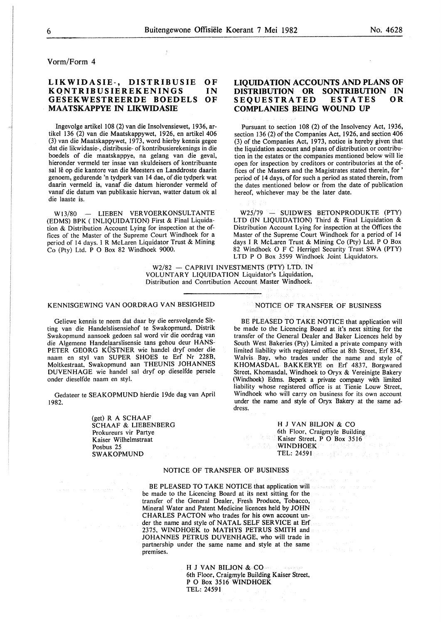Vorm/Form 4

#### **LIKWIDASIE-, DISTRIBUSIE KQNTRIBUSIEREKENINGS GESEKWESTREERDE BOEDELS MAATSKAPPYE IN LIKWIDASIE**   $\Omega$ **F** IN **OF**

Ingevolge artikel 108 (2) van die Insolvensiewet, 1936, artikel 136 (2) van die Maatskappywet, 1926, en artikel 406 (3) van die Maatskappywet, 1973, word hierby kennis gegee dat die likwidasie-, distribusie- of kontribusierekenings in die boedels of die maatskappye, na gelang van die geval, hieronder vermeld ter insae van skuldeisers of kontribuante sal lê op die kantore van die Meesters en Landdroste daarin genoem, gedurende 'n tydperk van 14 dae, of die tydperk wat daarin vermeld is, vanaf die datum hieronder vermeld of vanaf die datum van publikasie hiervan, watter datum ok al die laaste is.

WI3/80 - LIEBEN VERVOERKONSULTANTE (EDMS) BPK ( INLIQUIDATION) First & Final Liquidation & Distribution Account Lying for inspection at the offices of the Master of the Supreme Court Windhoek for a period of 14 days. I R McLaren Liquidator Trust & Mining Co (Pty) Ltd. P 0 Box 82 Windhoek 9000.

## **LIQUIDATION ACCOUNTS AND PLANS OF DISTRIBUTION OR SONTRIBUTION IN SEQUESTRATED ESTATES OR COMPLANIES BEING WOUND UP**

Pursuant to section 108 (2) of the Insolvency Act, 1936, section 136 (2) of the Companies Act, 1926, and section 406 (3) of the Companies Act, 1973, notice is hereby given that the liquidation account and plans of distribution or contribution in the estates or the companies mentioned below will lie open for inspection by creditors or contributories at the offices of the Masters and the Magistrates stated therein, for ' period of 14 days, of for such a period as stated therein, from the dates mentioned below or from the date of publication hereof, whichever may be the later date.

W25/79 - SUIDWES BETONPRODUKTE (PTY) LTD (IN LIQUIDATION) Third & Final Liquidation & Distribution Account Lying for inspection at the Offices the Master of the Supreme Court Windhoek for a period of 14 days I R McLaren Trust & Mining Co (Pty) Ltd. P 0 Box 82 Windhoek O F C Herrigel Security Trust SWA (PTY) LTD P 0 Box 3599 Windhoek Joint Liquidators.

W2/82 - CAPRIVI INVESTMENTS (PTY) LTD. IN VOLUNTARY LIQUIDATION Liquidator's Liquidation, Distribution and Conrtibution Account Master Windhoek.

## KENNISGEWING VAN OORDRAG VAN BESIGHEID

Geliewe kennis te neem dat daar by die eersvolgende Sitting van die Handelslisensiehof te Swakopmund, Distrik Swakopmund aansoek gedoen sal word vir die oordrag van die Algemene Handelaarslisensie tans gehou deur HANS-PETER GEORG KÜSTNER wie handel dryf onder die naam en sty! van SUPER SHOES te Erf Nr 228B, Moltkestraat, Swakopmund aan THEUNIS JOHANNES DUVENHAGE wie handel sal dryf op dieselfde persele onder dieselfde naam en sty!.

Gedateer te SEAKOPMUND hierdie 19de dag van April 1982.

> (get) R A SCHAAF SCHAAF & LIESENBERG Prokureurs vir Partye Kaiser Wilhelmstraat Posbus 25 SWAKOPMUND

## NOTICE OF TRANSFER OF BUSINESS

BE PLEASED TO TAKE NOTICE that application will be made to the Licencing Board at it's next sitting for the transfer of the General Dealer and Baker Licences held by South West Bakeries (Pty) Limited a private company with limited liability with registered office at 8th Street, Erf 834, Walvis Bay, who trades under the name and style of KHOMASDAL BAKKERYE on Erf 4837, Borgwared Street, Khomasdal, Windhoek to Oryx & Vereinigte Bakery (Windhoek) Edms. Beperk a private company with limited liability whose registered office is at Tienie Louw Street, Windhoek who will carry on business for its own account under the name and style of Oryx Bakery at the same address.

> H J VAN BILJON & CO 6th Floor, Craigmyle Building Kaiser Street, P 0 Box 3516 WINDHOEK TEL: 24591

## NOTICE OF TRANSFER OF BUSINESS

BE PLEASED TO TAKE NOTICE that application will be made to the Licencing Board at its next sitting for the transfer of the General Dealer, Fresh Produce, Tobacco, Mineral Water and Patent Medicine licences held by JOHN CHARLES PACTON who trades for his own account under the name and style of NATAL SELF SERVICE at Erf 2375, WINDHOEK to MATHYS PETRUS SMITH and JOHANNES PETRUS DUVENHAGE, who will trade in partnership under the same name and style at the same premises.

> H J VAN BILJON & CO 6th Floor, Craigmyle Building Kaiser Street, P 0 Box 3516 WINDHOEK TEL: 24591